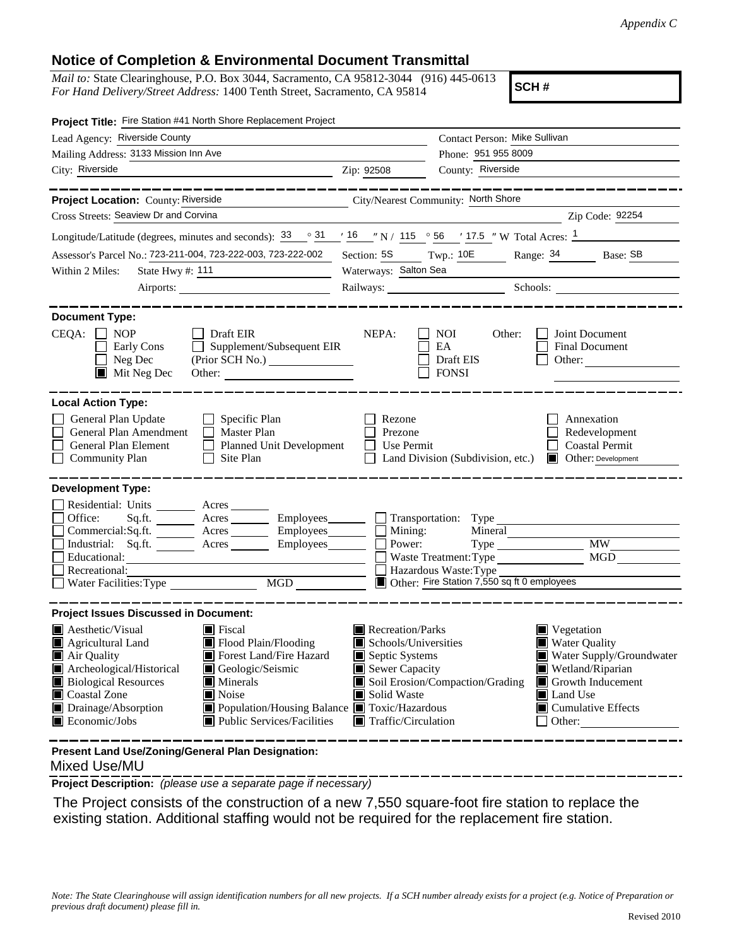## **Notice of Completion & Environmental Document Transmittal**

*Mail to:* State Clearinghouse, P.O. Box 3044, Sacramento, CA 95812-3044 (916) 445-0613 *For Hand Delivery/Street Address:* 1400 Tenth Street, Sacramento, CA 95814

**SCH #**

| Project Title: Fire Station #41 North Shore Replacement Project                                                                                                                                                                                                                                    |                                                                                                                                                                                               |                                                                                                                                   |                                                                                                                  |                                                                                                                                                                              |  |
|----------------------------------------------------------------------------------------------------------------------------------------------------------------------------------------------------------------------------------------------------------------------------------------------------|-----------------------------------------------------------------------------------------------------------------------------------------------------------------------------------------------|-----------------------------------------------------------------------------------------------------------------------------------|------------------------------------------------------------------------------------------------------------------|------------------------------------------------------------------------------------------------------------------------------------------------------------------------------|--|
| Lead Agency: Riverside County                                                                                                                                                                                                                                                                      |                                                                                                                                                                                               |                                                                                                                                   | Contact Person: Mike Sullivan                                                                                    |                                                                                                                                                                              |  |
| Mailing Address: 3133 Mission Inn Ave                                                                                                                                                                                                                                                              | Phone: 951 955 8009                                                                                                                                                                           |                                                                                                                                   |                                                                                                                  |                                                                                                                                                                              |  |
| City: Riverside<br><u> 1989 - Johann Barbara, martin a</u>                                                                                                                                                                                                                                         |                                                                                                                                                                                               | Zip: 92508                                                                                                                        | County: Riverside                                                                                                |                                                                                                                                                                              |  |
|                                                                                                                                                                                                                                                                                                    |                                                                                                                                                                                               |                                                                                                                                   |                                                                                                                  |                                                                                                                                                                              |  |
| Project Location: County: Riverside                                                                                                                                                                                                                                                                |                                                                                                                                                                                               | City/Nearest Community: North Shore                                                                                               |                                                                                                                  |                                                                                                                                                                              |  |
| Cross Streets: Seaview Dr and Corvina                                                                                                                                                                                                                                                              |                                                                                                                                                                                               |                                                                                                                                   |                                                                                                                  | Zip Code: 92254                                                                                                                                                              |  |
| Longitude/Latitude (degrees, minutes and seconds): $\frac{33}{10}$ $\frac{31}{10}$ $\frac{16}{10}$ $\frac{1}{10}$ N / 115 $\degree$ 56 $\degree$ 17.5 $\degree$ W Total Acres: 1                                                                                                                   |                                                                                                                                                                                               |                                                                                                                                   |                                                                                                                  |                                                                                                                                                                              |  |
| Assessor's Parcel No.: 723-211-004, 723-222-003, 723-222-002                                                                                                                                                                                                                                       |                                                                                                                                                                                               | Section: 5S Twp.: 10E                                                                                                             |                                                                                                                  | Range: 34 Base: SB                                                                                                                                                           |  |
| State Hwy #: 111<br>Within 2 Miles:                                                                                                                                                                                                                                                                |                                                                                                                                                                                               | Waterways: Salton Sea                                                                                                             |                                                                                                                  |                                                                                                                                                                              |  |
|                                                                                                                                                                                                                                                                                                    |                                                                                                                                                                                               |                                                                                                                                   |                                                                                                                  | Railways: Schools:                                                                                                                                                           |  |
|                                                                                                                                                                                                                                                                                                    |                                                                                                                                                                                               |                                                                                                                                   |                                                                                                                  |                                                                                                                                                                              |  |
| <b>Document Type:</b><br>$CEQA:$ NOP<br>Early Cons<br>Neg Dec<br>$\blacksquare$ Mit Neg Dec                                                                                                                                                                                                        | $\Box$ Draft EIR<br>$\Box$ Supplement/Subsequent EIR<br>Other:                                                                                                                                | NEPA:                                                                                                                             | <b>NOI</b><br>Other:<br>EA<br>Draft EIS<br><b>FONSI</b>                                                          | Joint Document<br>Final Document<br>Other:                                                                                                                                   |  |
| <b>Local Action Type:</b><br>General Plan Update<br>General Plan Amendment<br>General Plan Element<br><b>Community Plan</b><br>$\mathsf{L}$                                                                                                                                                        | $\Box$ Specific Plan<br>$\Box$ Master Plan<br>Planned Unit Development<br>Site Plan                                                                                                           | Rezone<br>Prezone<br>Use Permit                                                                                                   | Land Division (Subdivision, etc.)                                                                                | Annexation<br>Redevelopment<br><b>Coastal Permit</b><br>Other: Development                                                                                                   |  |
| <b>Development Type:</b>                                                                                                                                                                                                                                                                           |                                                                                                                                                                                               |                                                                                                                                   |                                                                                                                  |                                                                                                                                                                              |  |
| Residential: Units ________ Acres ______<br>Office:<br>$Commercial:Sq.fit.$ $\overline{\qquad}$ Acres $\overline{\qquad}$ Employees $\overline{\qquad}$ Mining:<br>Industrial: Sq.ft. _______ Acres ________ Employees _______ D Power:<br>Educational:<br>Recreational:<br>Water Facilities: Type | Sq.ft. ________ Acres _________ Employees________ __ Transportation: Type<br>MGD __                                                                                                           |                                                                                                                                   | Mineral<br>Type<br>Waste Treatment: Type<br>Hazardous Waste: Type<br>Other: Fire Station 7,550 sq ft 0 employees | MW<br>MGD                                                                                                                                                                    |  |
| <b>Project Issues Discussed in Document:</b>                                                                                                                                                                                                                                                       |                                                                                                                                                                                               |                                                                                                                                   |                                                                                                                  |                                                                                                                                                                              |  |
| $\blacksquare$ Aesthetic/Visual<br>$\blacksquare$ Fiscal<br>Agricultural Land<br>Air Quality<br>Archeological/Historical<br><b>Biological Resources</b><br>Coastal Zone<br>$\blacksquare$ Noise<br>Drainage/Absorption<br>Economic/Jobs                                                            | Flood Plain/Flooding<br>Forest Land/Fire Hazard<br>Geologic/Seismic<br>$\blacksquare$ Minerals<br>■ Population/Housing Balance ■ Toxic/Hazardous<br>$\blacksquare$ Public Services/Facilities | Recreation/Parks<br>Schools/Universities<br>Septic Systems<br>Sewer Capacity<br>Solid Waste<br>$\blacksquare$ Traffic/Circulation | Soil Erosion/Compaction/Grading                                                                                  | $\blacksquare$ Vegetation<br>■ Water Quality<br>Water Supply/Groundwater<br>Wetland/Riparian<br>Growth Inducement<br>Land Use<br>$\blacksquare$ Cumulative Effects<br>Other: |  |
| Present Land Use/Zoning/General Plan Designation:                                                                                                                                                                                                                                                  |                                                                                                                                                                                               |                                                                                                                                   |                                                                                                                  |                                                                                                                                                                              |  |

Mixed Use/MU

**Project Description:** *(please use a separate page if necessary)*

 The Project consists of the construction of a new 7,550 square-foot fire station to replace the existing station. Additional staffing would not be required for the replacement fire station.